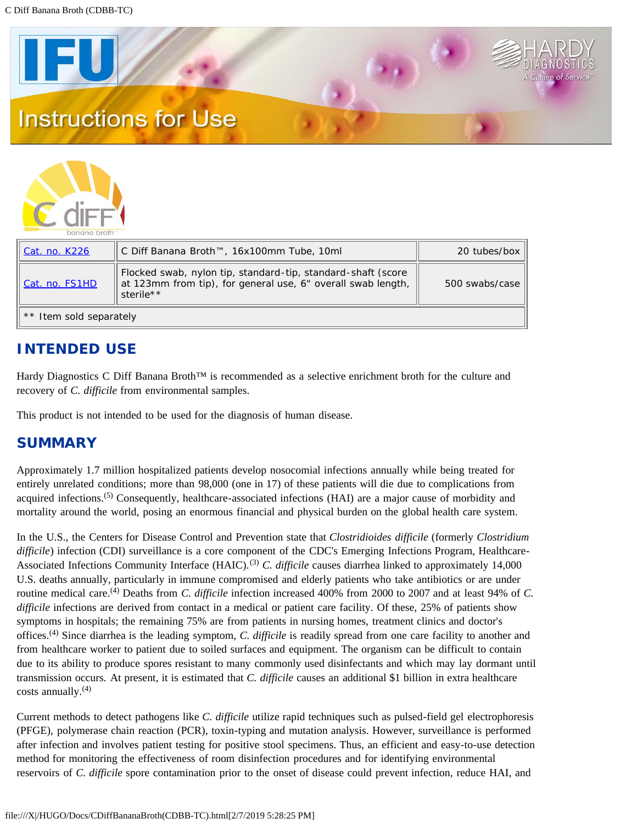



| Cat. no. K226           | ∥ C Diff Banana Broth™, 16x100mm Tube, 10ml                                                                                               | 20 tubes/box   |  |  |  |  |
|-------------------------|-------------------------------------------------------------------------------------------------------------------------------------------|----------------|--|--|--|--|
| Cat. no. FS1HD          | Flocked swab, nylon tip, standard-tip, standard-shaft (score<br>at 123mm from tip), for general use, 6" overall swab length,<br>sterile** | 500 swabs/case |  |  |  |  |
| ** Item sold separately |                                                                                                                                           |                |  |  |  |  |

# **INTENDED USE**

Hardy Diagnostics C Diff Banana Broth™ is recommended as a selective enrichment broth for the culture and recovery of *C. difficile* from environmental samples.

This product is not intended to be used for the diagnosis of human disease.

## **SUMMARY**

Approximately 1.7 million hospitalized patients develop nosocomial infections annually while being treated for entirely unrelated conditions; more than 98,000 (one in 17) of these patients will die due to complications from acquired infections.<sup>(5)</sup> Consequently, healthcare-associated infections (HAI) are a major cause of morbidity and mortality around the world, posing an enormous financial and physical burden on the global health care system.

In the U.S., the Centers for Disease Control and Prevention state that *Clostridioides difficile* (formerly *Clostridium difficile*) infection (CDI) surveillance is a core component of the CDC's Emerging Infections Program, Healthcare-Associated Infections Community Interface (HAIC).<sup>(3)</sup> *C. difficile* causes diarrhea linked to approximately 14,000 U.S. deaths annually, particularly in immune compromised and elderly patients who take antibiotics or are under routine medical care.(4) Deaths from *C. difficile* infection increased 400% from 2000 to 2007 and at least 94% of *C. difficile* infections are derived from contact in a medical or patient care facility. Of these, 25% of patients show symptoms in hospitals; the remaining 75% are from patients in nursing homes, treatment clinics and doctor's offices.(4) Since diarrhea is the leading symptom, *C. difficile* is readily spread from one care facility to another and from healthcare worker to patient due to soiled surfaces and equipment. The organism can be difficult to contain due to its ability to produce spores resistant to many commonly used disinfectants and which may lay dormant until transmission occurs. At present, it is estimated that *C. difficile* causes an additional \$1 billion in extra healthcare  $costs$  annually.<sup>(4)</sup>

Current methods to detect pathogens like *C. difficile* utilize rapid techniques such as pulsed-field gel electrophoresis (PFGE), polymerase chain reaction (PCR), toxin-typing and mutation analysis. However, surveillance is performed after infection and involves patient testing for positive stool specimens. Thus, an efficient and easy-to-use detection method for monitoring the effectiveness of room disinfection procedures and for identifying environmental reservoirs of *C. difficile* spore contamination prior to the onset of disease could prevent infection, reduce HAI, and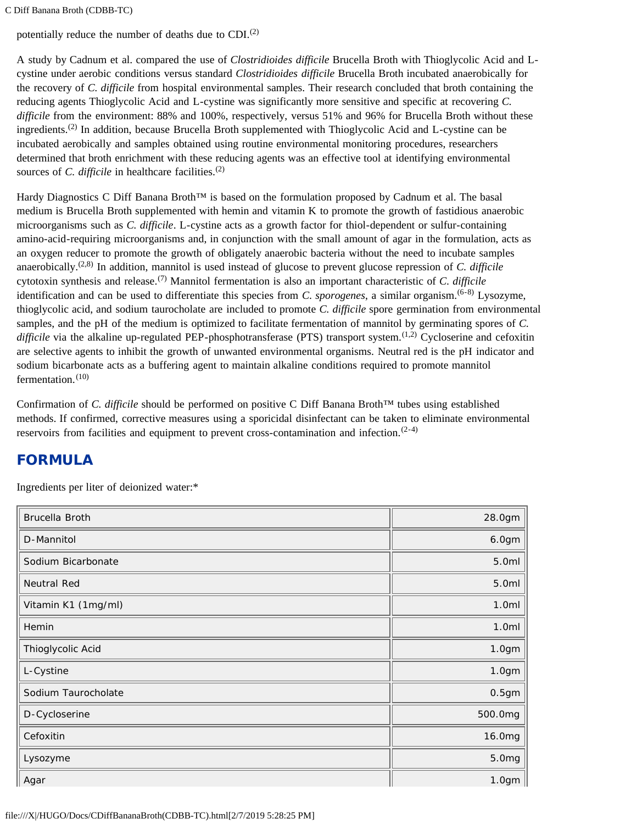C Diff Banana Broth (CDBB-TC)

potentially reduce the number of deaths due to CDI.<sup>(2)</sup>

A study by Cadnum et al. compared the use of *Clostridioides difficile* Brucella Broth with Thioglycolic Acid and Lcystine under aerobic conditions versus standard *Clostridioides difficile* Brucella Broth incubated anaerobically for the recovery of *C. difficile* from hospital environmental samples. Their research concluded that broth containing the reducing agents Thioglycolic Acid and L-cystine was significantly more sensitive and specific at recovering *C. difficile* from the environment: 88% and 100%, respectively, versus 51% and 96% for Brucella Broth without these ingredients.<sup>(2)</sup> In addition, because Brucella Broth supplemented with Thioglycolic Acid and L-cystine can be incubated aerobically and samples obtained using routine environmental monitoring procedures, researchers determined that broth enrichment with these reducing agents was an effective tool at identifying environmental sources of *C. difficile* in healthcare facilities.<sup>(2)</sup>

Hardy Diagnostics C Diff Banana Broth™ is based on the formulation proposed by Cadnum et al. The basal medium is Brucella Broth supplemented with hemin and vitamin K to promote the growth of fastidious anaerobic microorganisms such as *C. difficile*. L-cystine acts as a growth factor for thiol-dependent or sulfur-containing amino-acid-requiring microorganisms and, in conjunction with the small amount of agar in the formulation, acts as an oxygen reducer to promote the growth of obligately anaerobic bacteria without the need to incubate samples anaerobically.(2,8) In addition, mannitol is used instead of glucose to prevent glucose repression of *C. difficile* cytotoxin synthesis and release.(7) Mannitol fermentation is also an important characteristic of *C. difficile* identification and can be used to differentiate this species from *C. sporogenes*, a similar organism.(6-8) Lysozyme, thioglycolic acid, and sodium taurocholate are included to promote *C. difficile* spore germination from environmental samples, and the pH of the medium is optimized to facilitate fermentation of mannitol by germinating spores of *C. difficile* via the alkaline up-regulated PEP-phosphotransferase (PTS) transport system.<sup>(1,2)</sup> Cycloserine and cefoxitin are selective agents to inhibit the growth of unwanted environmental organisms. Neutral red is the pH indicator and sodium bicarbonate acts as a buffering agent to maintain alkaline conditions required to promote mannitol fermentation. $(10)$ 

Confirmation of *C. difficile* should be performed on positive C Diff Banana Broth™ tubes using established methods. If confirmed, corrective measures using a sporicidal disinfectant can be taken to eliminate environmental reservoirs from facilities and equipment to prevent cross-contamination and infection.  $(2-4)$ 

# **FORMULA**

Ingredients per liter of deionized water:\*

| Brucella Broth      | 28.0gm  |
|---------------------|---------|
| D-Mannitol          | 6.0gm   |
| Sodium Bicarbonate  | 5.0ml   |
| Neutral Red         | 5.0ml   |
| Vitamin K1 (1mg/ml) | 1.0ml   |
| Hemin               | 1.0ml   |
| Thioglycolic Acid   | 1.0gm   |
| L-Cystine           | 1.0gm   |
| Sodium Taurocholate | 0.5gm   |
| D-Cycloserine       | 500.0mg |
| Cefoxitin           | 16.0mg  |
| Lysozyme            | 5.0mg   |
| Agar                | 1.0gm   |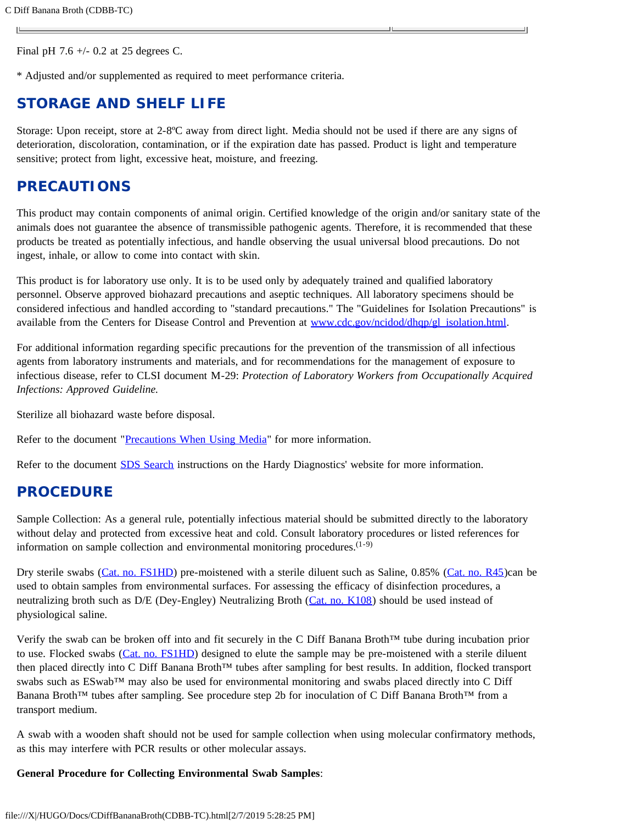Final pH 7.6 +/- 0.2 at 25 degrees C.

\* Adjusted and/or supplemented as required to meet performance criteria.

### **STORAGE AND SHELF LIFE**

Storage: Upon receipt, store at 2-8ºC away from direct light. Media should not be used if there are any signs of deterioration, discoloration, contamination, or if the expiration date has passed. Product is light and temperature sensitive; protect from light, excessive heat, moisture, and freezing.

## **PRECAUTIONS**

This product may contain components of animal origin. Certified knowledge of the origin and/or sanitary state of the animals does not guarantee the absence of transmissible pathogenic agents. Therefore, it is recommended that these products be treated as potentially infectious, and handle observing the usual universal blood precautions. Do not ingest, inhale, or allow to come into contact with skin.

This product is for laboratory use only. It is to be used only by adequately trained and qualified laboratory personnel. Observe approved biohazard precautions and aseptic techniques. All laboratory specimens should be considered infectious and handled according to "standard precautions." The "Guidelines for Isolation Precautions" is available from the Centers for Disease Control and Prevention at [www.cdc.gov/ncidod/dhqp/gl\\_isolation.html](http://www.cdc.gov/ncidod/dhqp/gl_isolation.html).

For additional information regarding specific precautions for the prevention of the transmission of all infectious agents from laboratory instruments and materials, and for recommendations for the management of exposure to infectious disease, refer to CLSI document M-29: *Protection of Laboratory Workers from Occupationally Acquired Infections: Approved Guideline.*

Sterilize all biohazard waste before disposal.

Refer to the document ["Precautions When Using Media"](https://catalog.hardydiagnostics.com/cp_prod/Content/hugo/PrecautionsWhenUsingMedia.htm) for more information.

Refer to the document [SDS Search](http://hardydiagnostics.com/sds/) instructions on the Hardy Diagnostics' website for more information.

### **PROCEDURE**

Sample Collection: As a general rule, potentially infectious material should be submitted directly to the laboratory without delay and protected from excessive heat and cold. Consult laboratory procedures or listed references for information on sample collection and environmental monitoring procedures.  $(1-9)$ 

Dry sterile swabs ([Cat. no. FS1HD\)](https://catalog.hardydiagnostics.com/cp_prod/product/fs1hd-flocked-swab-nylon-tip-standard-tip-standard-shaft-score-at-123mm-from-tip-for-general-use-6-overall-swab-length-sterile-10-boxes-of-50-individually-wrapped-by-hardy-diagnostics-swabs-and-applic) pre-moistened with a sterile diluent such as Saline, 0.85% ([Cat. no. R45\)](https://catalog.hardydiagnostics.com/cp_prod/product/r45-saline-085-2ml-13x100mm-tube-optically-clear-shatter-resistant-polycarbonate-tube-order-by-the-package-of-20-by-hardy-diagnostics-media-prepared)can be used to obtain samples from environmental surfaces. For assessing the efficacy of disinfection procedures, a neutralizing broth such as D/E (Dey-Engley) Neutralizing Broth (*Cat. no. K108*) should be used instead of physiological saline.

Verify the swab can be broken off into and fit securely in the C Diff Banana Broth™ tube during incubation prior to use. Flocked swabs ([Cat. no. FS1HD](https://catalog.hardydiagnostics.com/cp_prod/product/fs1hd-flocked-swab-nylon-tip-standard-tip-standard-shaft-score-at-123mm-from-tip-for-general-use-6-overall-swab-length-sterile-10-boxes-of-50-individually-wrapped-by-hardy-diagnostics-swabs-and-applic)) designed to elute the sample may be pre-moistened with a sterile diluent then placed directly into C Diff Banana Broth™ tubes after sampling for best results. In addition, flocked transport swabs such as ESwab™ may also be used for environmental monitoring and swabs placed directly into C Diff Banana Broth™ tubes after sampling. See procedure step 2b for inoculation of C Diff Banana Broth™ from a transport medium.

A swab with a wooden shaft should not be used for sample collection when using molecular confirmatory methods, as this may interfere with PCR results or other molecular assays.

#### **General Procedure for Collecting Environmental Swab Samples**: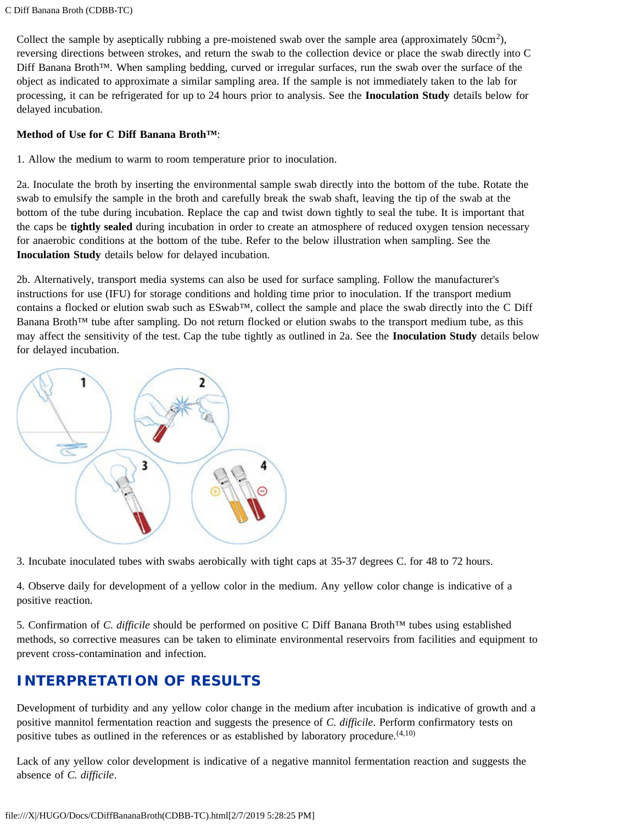Collect the sample by aseptically rubbing a pre-moistened swab over the sample area (approximately 50cm<sup>2</sup>), reversing directions between strokes, and return the swab to the collection device or place the swab directly into C Diff Banana Broth™. When sampling bedding, curved or irregular surfaces, run the swab over the surface of the object as indicated to approximate a similar sampling area. If the sample is not immediately taken to the lab for processing, it can be refrigerated for up to 24 hours prior to analysis. See the **Inoculation Study** details below for delayed incubation.

#### **Method of Use for C Diff Banana Broth™**:

1. Allow the medium to warm to room temperature prior to inoculation.

2a. Inoculate the broth by inserting the environmental sample swab directly into the bottom of the tube. Rotate the swab to emulsify the sample in the broth and carefully break the swab shaft, leaving the tip of the swab at the bottom of the tube during incubation. Replace the cap and twist down tightly to seal the tube. It is important that the caps be **tightly sealed** during incubation in order to create an atmosphere of reduced oxygen tension necessary for anaerobic conditions at the bottom of the tube. Refer to the below illustration when sampling. See the **Inoculation Study** details below for delayed incubation.

2b. Alternatively, transport media systems can also be used for surface sampling. Follow the manufacturer's instructions for use (IFU) for storage conditions and holding time prior to inoculation. If the transport medium contains a flocked or elution swab such as ESwab™, collect the sample and place the swab directly into the C Diff Banana Broth™ tube after sampling. Do not return flocked or elution swabs to the transport medium tube, as this may affect the sensitivity of the test. Cap the tube tightly as outlined in 2a. See the **Inoculation Study** details below for delayed incubation.



3. Incubate inoculated tubes with swabs aerobically with tight caps at 35-37 degrees C. for 48 to 72 hours.

4. Observe daily for development of a yellow color in the medium. Any yellow color change is indicative of a positive reaction.

5. Confirmation of *C. difficile* should be performed on positive C Diff Banana Broth™ tubes using established methods, so corrective measures can be taken to eliminate environmental reservoirs from facilities and equipment to prevent cross-contamination and infection.

## **INTERPRETATION OF RESULTS**

Development of turbidity and any yellow color change in the medium after incubation is indicative of growth and a positive mannitol fermentation reaction and suggests the presence of *C. difficile*. Perform confirmatory tests on positive tubes as outlined in the references or as established by laboratory procedure.<sup> $(4,10)$ </sup>

Lack of any yellow color development is indicative of a negative mannitol fermentation reaction and suggests the absence of *C. difficile*.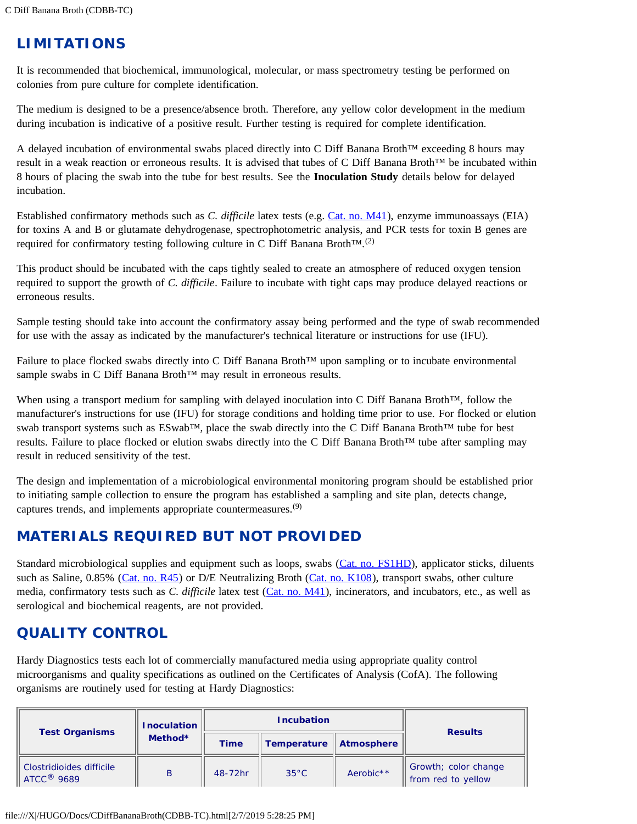# **LIMITATIONS**

It is recommended that biochemical, immunological, molecular, or mass spectrometry testing be performed on colonies from pure culture for complete identification.

The medium is designed to be a presence/absence broth. Therefore, any yellow color development in the medium during incubation is indicative of a positive result. Further testing is required for complete identification.

A delayed incubation of environmental swabs placed directly into C Diff Banana Broth™ exceeding 8 hours may result in a weak reaction or erroneous results. It is advised that tubes of C Diff Banana Broth™ be incubated within 8 hours of placing the swab into the tube for best results. See the **Inoculation Study** details below for delayed incubation.

Established confirmatory methods such as *C. difficile* latex tests (e.g. [Cat. no. M41](https://catalog.hardydiagnostics.com/cp_prod/product/m41-microgen-iclostridium-difficilei-latex-rapid-test-50-tests-per-kit-by-microgen-bioproducts-rapid-id-test-kits)), enzyme immunoassays (EIA) for toxins A and B or glutamate dehydrogenase, spectrophotometric analysis, and PCR tests for toxin B genes are required for confirmatory testing following culture in C Diff Banana Broth<sup>TM</sup>.<sup>(2)</sup>

This product should be incubated with the caps tightly sealed to create an atmosphere of reduced oxygen tension required to support the growth of *C. difficile*. Failure to incubate with tight caps may produce delayed reactions or erroneous results.

Sample testing should take into account the confirmatory assay being performed and the type of swab recommended for use with the assay as indicated by the manufacturer's technical literature or instructions for use (IFU).

Failure to place flocked swabs directly into C Diff Banana Broth™ upon sampling or to incubate environmental sample swabs in C Diff Banana Broth<sup>™</sup> may result in erroneous results.

When using a transport medium for sampling with delayed inoculation into C Diff Banana Broth™, follow the manufacturer's instructions for use (IFU) for storage conditions and holding time prior to use. For flocked or elution swab transport systems such as ESwab™, place the swab directly into the C Diff Banana Broth™ tube for best results. Failure to place flocked or elution swabs directly into the C Diff Banana Broth™ tube after sampling may result in reduced sensitivity of the test.

The design and implementation of a microbiological environmental monitoring program should be established prior to initiating sample collection to ensure the program has established a sampling and site plan, detects change, captures trends, and implements appropriate countermeasures.<sup>(9)</sup>

# **MATERIALS REQUIRED BUT NOT PROVIDED**

Standard microbiological supplies and equipment such as loops, swabs ([Cat. no. FS1HD\)](https://catalog.hardydiagnostics.com/cp_prod/product/fs1hd-flocked-swab-nylon-tip-standard-tip-standard-shaft-score-at-123mm-from-tip-for-general-use-6-overall-swab-length-sterile-10-boxes-of-50-individually-wrapped-by-hardy-diagnostics-swabs-and-applic), applicator sticks, diluents such as Saline, 0.85% [\(Cat. no. R45](https://catalog.hardydiagnostics.com/cp_prod/product/r45-saline-085-2ml-13x100mm-tube-optically-clear-shatter-resistant-polycarbonate-tube-order-by-the-package-of-20-by-hardy-diagnostics-media-prepared)) or D/E Neutralizing Broth [\(Cat. no. K108](https://catalog.hardydiagnostics.com/cp_prod/product/k108-de-neutralizing-broth-10ml-16x125mm-tube-order-by-the-package-of-20-by-hardy-diagnostics-food-beverage-dairy-testing)), transport swabs, other culture media, confirmatory tests such as *C. difficile* latex test ([Cat. no. M41](https://catalog.hardydiagnostics.com/cp_prod/product/m41-microgen-iclostridium-difficilei-latex-rapid-test-50-tests-per-kit-by-microgen-bioproducts-rapid-id-test-kits)), incinerators, and incubators, etc., as well as serological and biochemical reagents, are not provided.

# **QUALITY CONTROL**

Hardy Diagnostics tests each lot of commercially manufactured media using appropriate quality control microorganisms and quality specifications as outlined on the Certificates of Analysis (CofA). The following organisms are routinely used for testing at Hardy Diagnostics:

| <b>Test Organisms</b>                                | <b>Inoculation</b> | <b>Incubation</b> |                |                       | <b>Results</b>                             |
|------------------------------------------------------|--------------------|-------------------|----------------|-----------------------|--------------------------------------------|
|                                                      | Method*            | <b>Time</b>       | Temperature    | <b>Atmosphere</b>     |                                            |
| Clostridioides difficile<br>$ATCC$ <sup>®</sup> 9689 | B                  | 48-72hr           | $35^{\circ}$ C | Aerobic <sup>**</sup> | Growth; color change<br>from red to yellow |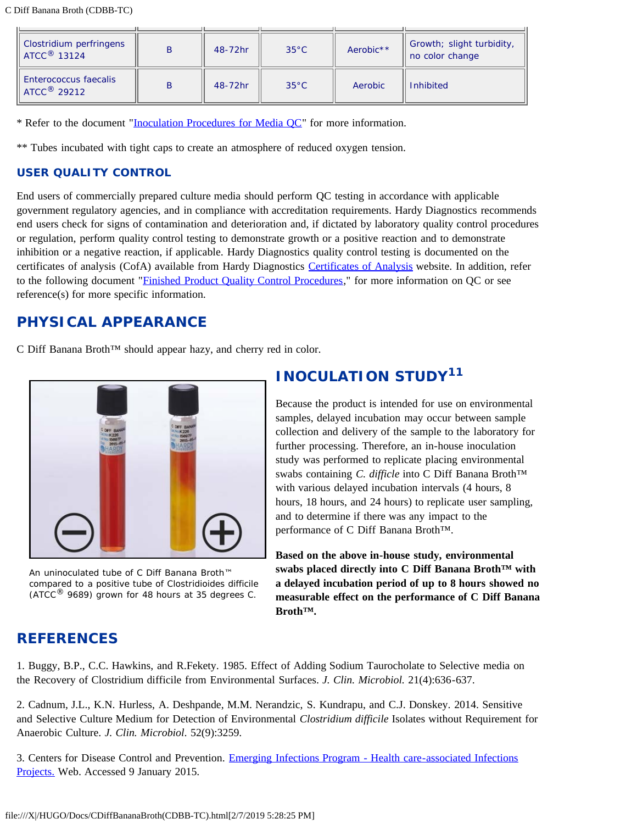C Diff Banana Broth (CDBB-TC)

| Clostridium perfringens<br>$\parallel$ ATCC $^{\circ}$ 13124 | B | 48-72hr | $35^{\circ}$ C | Aerobic <sup>**</sup> | Growth; slight turbidity,<br>no color change |
|--------------------------------------------------------------|---|---------|----------------|-----------------------|----------------------------------------------|
| <b>Enterococcus faecalis</b><br>ATCC <sup>®</sup> 29212      | B | 48-72hr | $35^{\circ}$ C | Aerobic               | <b>Inhibited</b>                             |

\* Refer to the document "[Inoculation Procedures for Media QC"](https://catalog.hardydiagnostics.com/cp_prod/Content/hugo/InocProced4MediaQC.htm) for more information.

\*\* Tubes incubated with tight caps to create an atmosphere of reduced oxygen tension.

#### **USER QUALITY CONTROL**

End users of commercially prepared culture media should perform QC testing in accordance with applicable government regulatory agencies, and in compliance with accreditation requirements. Hardy Diagnostics recommends end users check for signs of contamination and deterioration and, if dictated by laboratory quality control procedures or regulation, perform quality control testing to demonstrate growth or a positive reaction and to demonstrate inhibition or a negative reaction, if applicable. Hardy Diagnostics quality control testing is documented on the certificates of analysis (CofA) available from Hardy Diagnostics [Certificates of Analysis](https://catalog.hardydiagnostics.com/cp_prod/Hardy_COA.aspx) website. In addition, refer to the following document "[Finished Product Quality Control Procedures,](https://catalog.hardydiagnostics.com/cp_prod/Content/hugo/FinishedProductQC.htm)" for more information on QC or see reference(s) for more specific information.

# **PHYSICAL APPEARANCE**

C Diff Banana Broth™ should appear hazy, and cherry red in color.



An uninoculated tube of C Diff Banana Broth™ compared to a positive tube of *Clostridioides difficile* (ATCC $<sup>®</sup>$  9689) grown for 48 hours at 35 degrees C.</sup>

# **INOCULATION STUDY<sup>11</sup>**

Because the product is intended for use on environmental samples, delayed incubation may occur between sample collection and delivery of the sample to the laboratory for further processing. Therefore, an in-house inoculation study was performed to replicate placing environmental swabs containing *C. difficle* into C Diff Banana Broth™ with various delayed incubation intervals (4 hours, 8 hours, 18 hours, and 24 hours) to replicate user sampling, and to determine if there was any impact to the performance of C Diff Banana Broth™.

**Based on the above in-house study, environmental swabs placed directly into C Diff Banana Broth™ with a delayed incubation period of up to 8 hours showed no measurable effect on the performance of C Diff Banana Broth™.**

# **REFERENCES**

1. Buggy, B.P., C.C. Hawkins, and R.Fekety. 1985. Effect of Adding Sodium Taurocholate to Selective media on the Recovery of Clostridium difficile from Environmental Surfaces. *J. Clin. Microbiol.* 21(4):636-637.

2. Cadnum, J.L., K.N. Hurless, A. Deshpande, M.M. Nerandzic, S. Kundrapu, and C.J. Donskey. 2014. Sensitive and Selective Culture Medium for Detection of Environmental *Clostridium difficile* Isolates without Requirement for Anaerobic Culture. *J. Clin. Microbiol*. 52(9):3259.

3. Centers for Disease Control and Prevention. [Emerging Infections Program - Health care-associated Infections](http://www.cdc.gov/hai/eip/cdiff_techinfo.html#methods) [Projects.](http://www.cdc.gov/hai/eip/cdiff_techinfo.html#methods) Web. Accessed 9 January 2015.